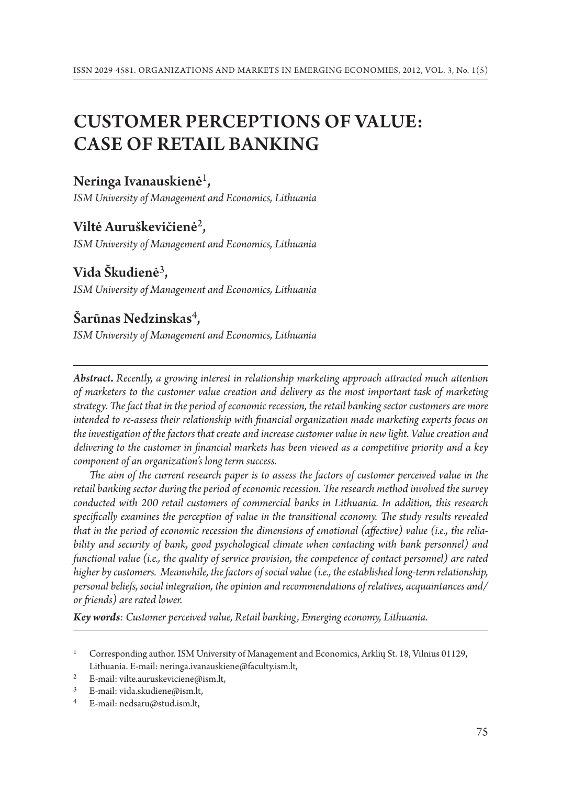# CUSTOMER PERCEPTIONS OF VALUE: CASE OF retail banking

# Neringa Ivanauskienė<sup>1</sup>,

*ISM University of Management and Economics, Lithuania*

## Viltė Auruškevičienė<sup>2</sup>,

*ISM University of Management and Economics, Lithuania*

# Vida Škudienė<sup>3</sup>,

*ISM University of Management and Economics, Lithuania*

# Šarūnas Nedzinskas<sup>4</sup>,

*ISM University of Management and Economics, Lithuania*

*Abstract***.** *Recently, a growing interest in relationship marketing approach attracted much attention of marketers to the customer value creation and delivery as the most important task of marketing strategy. The fact that in the period of economic recession, the retail banking sector customers are more intended to re-assess their relationship with financial organization made marketing experts focus on the investigation of the factors that create and increase customer value in new light. Value creation and delivering to the customer in financial markets has been viewed as a competitive priority and a key component of an organization's long term success.*

*The aim of the current research paper is to assess the factors of customer perceived value in the retail banking sector during the period of economic recession. The research method involved the survey conducted with 200 retail customers of commercial banks in Lithuania. In addition, this research specifically examines the perception of value in the transitional economy. The study results revealed that in the period of economic recession the dimensions of emotional (affective) value (i.e., the reliability and security of bank, good psychological climate when contacting with bank personnel) and functional value (i.e., the quality of service provision, the competence of contact personnel) are rated higher by customers. Meanwhile, the factors of social value (i.e., the established long-term relationship, personal beliefs, social integration, the opinion and recommendations of relatives, acquaintances and/ or friends) are rated lower.* 

*Key words: Customer perceived value, Retail banking, Emerging economy, Lithuania.*

<sup>1</sup> Corresponding author. ISM University of Management and Economics, Arklių St. 18, Vilnius 01129, Lithuania. E-mail: neringa.ivanauskiene@faculty.ism.lt,

<sup>&</sup>lt;sup>2</sup> E-mail: vilte.auruskeviciene@ism.lt,

<sup>&</sup>lt;sup>3</sup> E-mail: vida.skudiene@ism.lt,<br><sup>4</sup> E-mail: nedsaru@stud ism lt.

<sup>4</sup> E-mail: nedsaru@stud.ism.lt,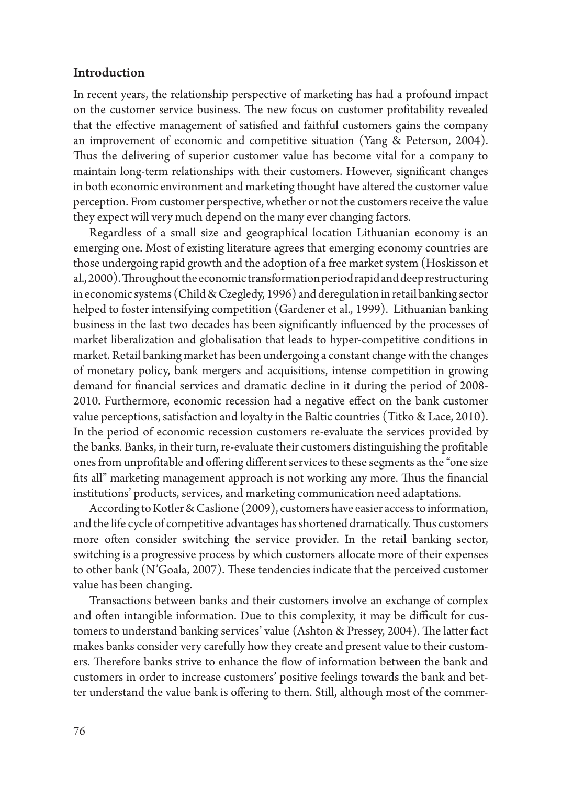#### Introduction

In recent years, the relationship perspective of marketing has had a profound impact on the customer service business. The new focus on customer profitability revealed that the effective management of satisfied and faithful customers gains the company an improvement of economic and competitive situation (Yang & Peterson, 2004). Thus the delivering of superior customer value has become vital for a company to maintain long-term relationships with their customers. However, significant changes in both economic environment and marketing thought have altered the customer value perception. From customer perspective, whether or not the customers receive the value they expect will very much depend on the many ever changing factors.

Regardless of a small size and geographical location Lithuanian economy is an emerging one. Most of existing literature agrees that emerging economy countries are those undergoing rapid growth and the adoption of a free market system (Hoskisson et al., 2000). Throughout the economic transformation period rapid and deep restructuring in economic systems (Child & Czegledy, 1996) and deregulation in retail banking sector helped to foster intensifying competition (Gardener et al., 1999). Lithuanian banking business in the last two decades has been significantly influenced by the processes of market liberalization and globalisation that leads to hyper-competitive conditions in market. Retail banking market has been undergoing a constant change with the changes of monetary policy, bank mergers and acquisitions, intense competition in growing demand for financial services and dramatic decline in it during the period of 2008- 2010. Furthermore, economic recession had a negative effect on the bank customer value perceptions, satisfaction and loyalty in the Baltic countries (Titko & Lace, 2010). In the period of economic recession customers re-evaluate the services provided by the banks. Banks, in their turn, re-evaluate their customers distinguishing the profitable ones from unprofitable and offering different services to these segments as the "one size fits all" marketing management approach is not working any more. Thus the financial institutions' products, services, and marketing communication need adaptations.

According to Kotler & Caslione (2009), customers have easier access to information, and the life cycle of competitive advantages has shortened dramatically. Thus customers more often consider switching the service provider. In the retail banking sector, switching is a progressive process by which customers allocate more of their expenses to other bank (N'Goala, 2007). These tendencies indicate that the perceived customer value has been changing.

Transactions between banks and their customers involve an exchange of complex and often intangible information. Due to this complexity, it may be difficult for customers to understand banking services' value (Ashton & Pressey, 2004). The latter fact makes banks consider very carefully how they create and present value to their customers. Therefore banks strive to enhance the flow of information between the bank and customers in order to increase customers' positive feelings towards the bank and better understand the value bank is offering to them. Still, although most of the commer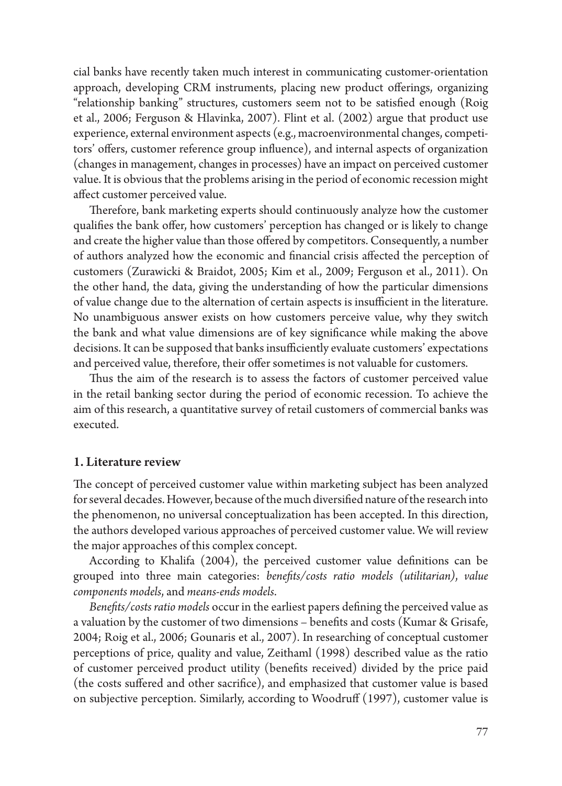cial banks have recently taken much interest in communicating customer-orientation approach, developing CRM instruments, placing new product offerings, organizing "relationship banking" structures, customers seem not to be satisfied enough (Roig et al., 2006; Ferguson & Hlavinka, 2007). Flint et al. (2002) argue that product use experience, external environment aspects (e.g., macroenvironmental changes, competitors' offers, customer reference group influence), and internal aspects of organization (changes in management, changes in processes) have an impact on perceived customer value. It is obvious that the problems arising in the period of economic recession might affect customer perceived value.

Therefore, bank marketing experts should continuously analyze how the customer qualifies the bank offer, how customers' perception has changed or is likely to change and create the higher value than those offered by competitors. Consequently, a number of authors analyzed how the economic and financial crisis affected the perception of customers (Zurawicki & Braidot, 2005; Kim et al., 2009; Ferguson et al., 2011). On the other hand, the data, giving the understanding of how the particular dimensions of value change due to the alternation of certain aspects is insufficient in the literature. No unambiguous answer exists on how customers perceive value, why they switch the bank and what value dimensions are of key significance while making the above decisions. It can be supposed that banks insufficiently evaluate customers' expectations and perceived value, therefore, their offer sometimes is not valuable for customers.

Thus the aim of the research is to assess the factors of customer perceived value in the retail banking sector during the period of economic recession. To achieve the aim of this research, a quantitative survey of retail customers of commercial banks was executed.

#### 1. Literature review

The concept of perceived customer value within marketing subject has been analyzed for several decades. However, because of the much diversified nature of the research into the phenomenon, no universal conceptualization has been accepted. In this direction, the authors developed various approaches of perceived customer value. We will review the major approaches of this complex concept.

According to Khalifa (2004), the perceived customer value definitions can be grouped into three main categories: *benefits/costs ratio models (utilitarian)*, *value components models*, and *means-ends models*.

*Benefits/costs ratio models* occur in the earliest papers defining the perceived value as a valuation by the customer of two dimensions – benefits and costs (Kumar & Grisafe, 2004; Roig et al., 2006; Gounaris et al., 2007). In researching of conceptual customer perceptions of price, quality and value, Zeithaml (1998) described value as the ratio of customer perceived product utility (benefits received) divided by the price paid (the costs suffered and other sacrifice), and emphasized that customer value is based on subjective perception. Similarly, according to Woodruff (1997), customer value is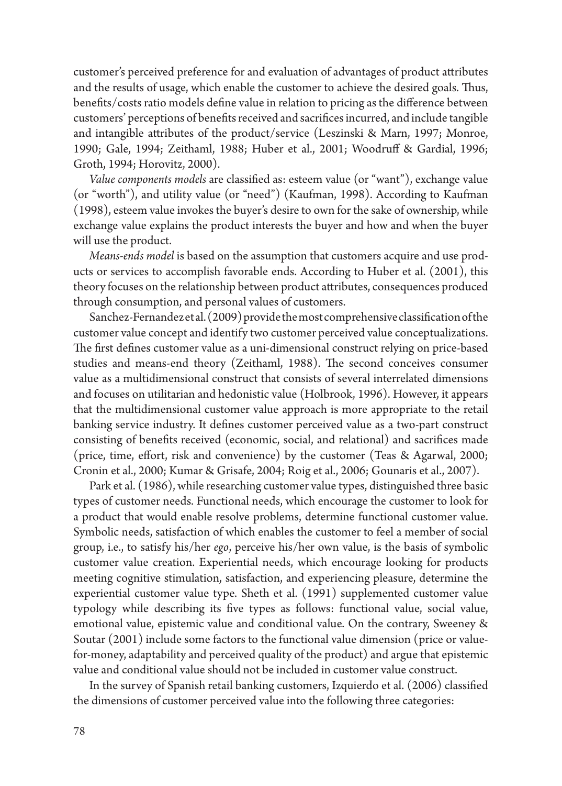customer's perceived preference for and evaluation of advantages of product attributes and the results of usage, which enable the customer to achieve the desired goals. Thus, benefits/costs ratio models define value in relation to pricing as the difference between customers' perceptions of benefits received and sacrifices incurred, and include tangible and intangible attributes of the product/service (Leszinski & Marn, 1997; Monroe, 1990; Gale, 1994; Zeithaml, 1988; Huber et al., 2001; Woodruff & Gardial, 1996; Groth, 1994; Horovitz, 2000).

*Value components models* are classified as: esteem value (or "want"), exchange value (or "worth"), and utility value (or "need") (Kaufman, 1998). According to Kaufman (1998), esteem value invokes the buyer's desire to own for the sake of ownership, while exchange value explains the product interests the buyer and how and when the buyer will use the product.

*Means-ends model* is based on the assumption that customers acquire and use products or services to accomplish favorable ends. According to Huber et al. (2001), this theory focuses on the relationship between product attributes, consequences produced through consumption, and personal values of customers.

Sanchez-Fernandez et al. (2009) provide the most comprehensive classification of the customer value concept and identify two customer perceived value conceptualizations. The frst defines customer value as a uni-dimensional construct relying on price-based studies and means-end theory (Zeithaml, 1988). The second conceives consumer value as a multidimensional construct that consists of several interrelated dimensions and focuses on utilitarian and hedonistic value (Holbrook, 1996). However, it appears that the multidimensional customer value approach is more appropriate to the retail banking service industry. It defines customer perceived value as a two-part construct consisting of benefits received (economic, social, and relational) and sacrifices made (price, time, effort, risk and convenience) by the customer (Teas & Agarwal, 2000; Cronin et al., 2000; Kumar & Grisafe, 2004; Roig et al., 2006; Gounaris et al., 2007).

Park et al. (1986), while researching customer value types, distinguished three basic types of customer needs. Functional needs, which encourage the customer to look for a product that would enable resolve problems, determine functional customer value. Symbolic needs, satisfaction of which enables the customer to feel a member of social group, i.e., to satisfy his/her *ego*, perceive his/her own value, is the basis of symbolic customer value creation. Experiential needs, which encourage looking for products meeting cognitive stimulation, satisfaction, and experiencing pleasure, determine the experiential customer value type. Sheth et al. (1991) supplemented customer value typology while describing its five types as follows: functional value, social value, emotional value, epistemic value and conditional value. On the contrary, Sweeney & Soutar (2001) include some factors to the functional value dimension (price or valuefor-money, adaptability and perceived quality of the product) and argue that epistemic value and conditional value should not be included in customer value construct.

In the survey of Spanish retail banking customers, Izquierdo et al. (2006) classified the dimensions of customer perceived value into the following three categories: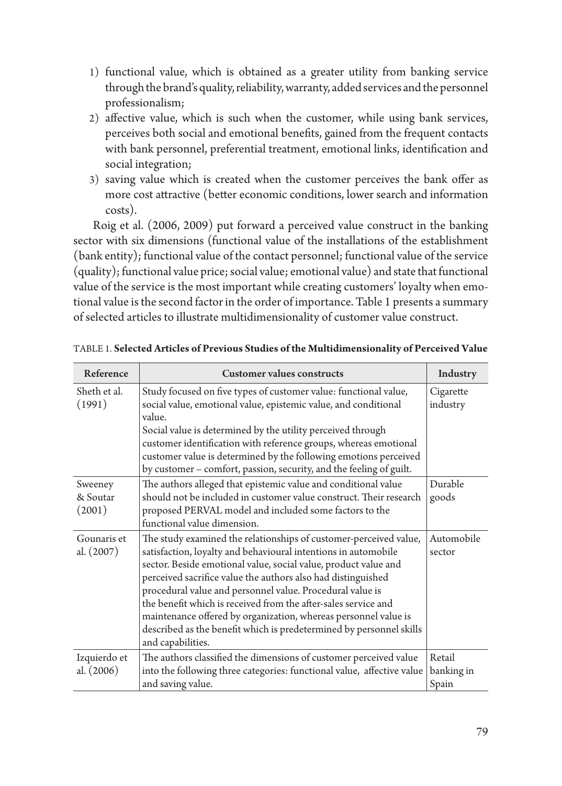- 1) functional value, which is obtained as a greater utility from banking service through the brand's quality, reliability, warranty, added services and the personnel professionalism;
- 2) affective value, which is such when the customer, while using bank services, perceives both social and emotional benefits, gained from the frequent contacts with bank personnel, preferential treatment, emotional links, identification and social integration;
- 3) saving value which is created when the customer perceives the bank offer as more cost attractive (better economic conditions, lower search and information costs).

 Roig et al. (2006, 2009) put forward a perceived value construct in the banking sector with six dimensions (functional value of the installations of the establishment (bank entity); functional value of the contact personnel; functional value of the service (quality); functional value price; social value; emotional value) and state that functional value of the service is the most important while creating customers' loyalty when emotional value is the second factor in the order of importance. Table 1 presents a summary of selected articles to illustrate multidimensionality of customer value construct.

| Reference                     | <b>Customer values constructs</b>                                                                                                                                                                                                                                                                                                                                                                                                                                                                                                                                    | Industry              |
|-------------------------------|----------------------------------------------------------------------------------------------------------------------------------------------------------------------------------------------------------------------------------------------------------------------------------------------------------------------------------------------------------------------------------------------------------------------------------------------------------------------------------------------------------------------------------------------------------------------|-----------------------|
| Sheth et al.<br>(1991)        | Study focused on five types of customer value: functional value,<br>social value, emotional value, epistemic value, and conditional<br>value.<br>Social value is determined by the utility perceived through<br>customer identification with reference groups, whereas emotional<br>customer value is determined by the following emotions perceived<br>by customer - comfort, passion, security, and the feeling of guilt.                                                                                                                                          | Cigarette<br>industry |
| Sweeney<br>& Soutar<br>(2001) | The authors alleged that epistemic value and conditional value<br>Durable<br>should not be included in customer value construct. Their research<br>goods<br>proposed PERVAL model and included some factors to the<br>functional value dimension.                                                                                                                                                                                                                                                                                                                    |                       |
| Gounaris et<br>al. (2007)     | The study examined the relationships of customer-perceived value,<br>satisfaction, loyalty and behavioural intentions in automobile<br>sector. Beside emotional value, social value, product value and<br>perceived sacrifice value the authors also had distinguished<br>procedural value and personnel value. Procedural value is<br>the benefit which is received from the after-sales service and<br>maintenance offered by organization, whereas personnel value is<br>described as the benefit which is predetermined by personnel skills<br>and capabilities. | Automobile<br>sector  |
| Izquierdo et<br>al. (2006)    | The authors classified the dimensions of customer perceived value<br>into the following three categories: functional value, affective value<br>and saving value.                                                                                                                                                                                                                                                                                                                                                                                                     |                       |

| <b>TABLE 1. Selected Articles of Previous Studies of the Multidimensionality of Perceived Value</b> |  |
|-----------------------------------------------------------------------------------------------------|--|
|-----------------------------------------------------------------------------------------------------|--|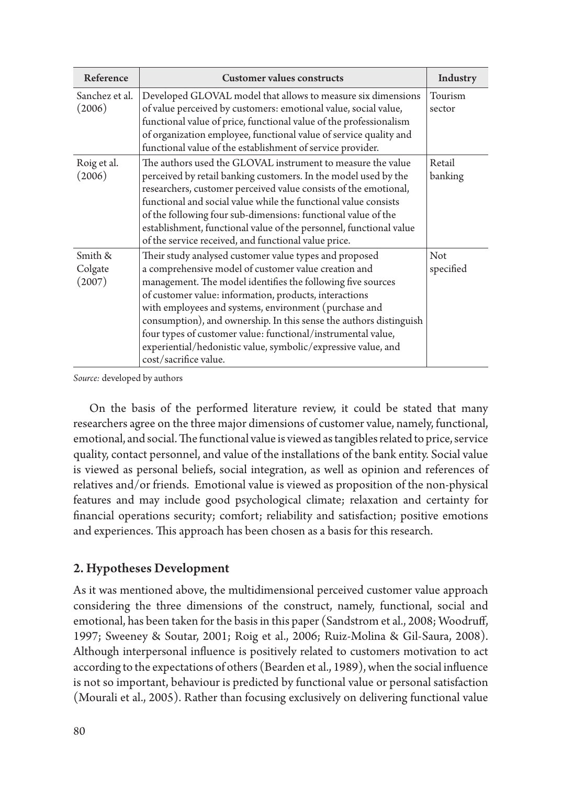| Reference                    | <b>Customer values constructs</b>                                                                                                                                                                                                                                                                                                                                                                                                                                                                                                | Industry          |
|------------------------------|----------------------------------------------------------------------------------------------------------------------------------------------------------------------------------------------------------------------------------------------------------------------------------------------------------------------------------------------------------------------------------------------------------------------------------------------------------------------------------------------------------------------------------|-------------------|
| Sanchez et al.<br>(2006)     | Developed GLOVAL model that allows to measure six dimensions<br>of value perceived by customers: emotional value, social value,<br>functional value of price, functional value of the professionalism<br>of organization employee, functional value of service quality and<br>functional value of the establishment of service provider.                                                                                                                                                                                         | Tourism<br>sector |
| Roig et al.<br>(2006)        | The authors used the GLOVAL instrument to measure the value<br>perceived by retail banking customers. In the model used by the<br>researchers, customer perceived value consists of the emotional,<br>functional and social value while the functional value consists<br>of the following four sub-dimensions: functional value of the<br>establishment, functional value of the personnel, functional value<br>of the service received, and functional value price.                                                             | Retail<br>banking |
| Smith &<br>Colgate<br>(2007) | Their study analysed customer value types and proposed<br>a comprehensive model of customer value creation and<br>management. The model identifies the following five sources<br>of customer value: information, products, interactions<br>with employees and systems, environment (purchase and<br>consumption), and ownership. In this sense the authors distinguish<br>four types of customer value: functional/instrumental value,<br>experiential/hedonistic value, symbolic/expressive value, and<br>cost/sacrifice value. | Not<br>specified  |

*Source:* developed by authors

On the basis of the performed literature review, it could be stated that many researchers agree on the three major dimensions of customer value, namely, functional, emotional, and social. The functional value is viewed as tangibles related to price, service quality, contact personnel, and value of the installations of the bank entity. Social value is viewed as personal beliefs, social integration, as well as opinion and references of relatives and/or friends. Emotional value is viewed as proposition of the non-physical features and may include good psychological climate; relaxation and certainty for financial operations security; comfort; reliability and satisfaction; positive emotions and experiences. This approach has been chosen as a basis for this research.

### 2. Hypotheses Development

As it was mentioned above, the multidimensional perceived customer value approach considering the three dimensions of the construct, namely, functional, social and emotional, has been taken for the basis in this paper (Sandstrom et al., 2008; Woodruff, 1997; Sweeney & Soutar, 2001; Roig et al., 2006; Ruiz-Molina & Gil-Saura, 2008). Although interpersonal influence is positively related to customers motivation to act according to the expectations of others (Bearden et al., 1989), when the social influence is not so important, behaviour is predicted by functional value or personal satisfaction (Mourali et al., 2005). Rather than focusing exclusively on delivering functional value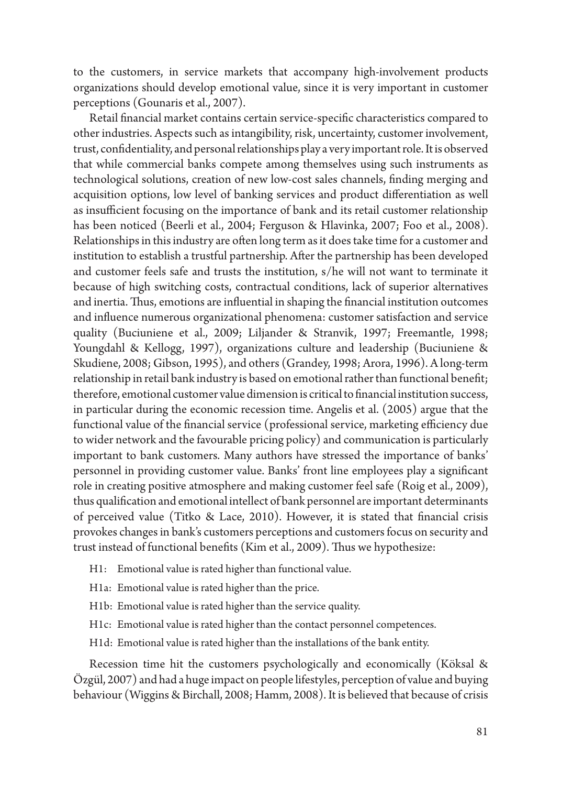to the customers, in service markets that accompany high-involvement products organizations should develop emotional value, since it is very important in customer perceptions (Gounaris et al., 2007).

Retail financial market contains certain service-specific characteristics compared to other industries. Aspects such as intangibility, risk, uncertainty, customer involvement, trust, confidentiality, and personal relationships play a very important role. It is observed that while commercial banks compete among themselves using such instruments as technological solutions, creation of new low-cost sales channels, finding merging and acquisition options, low level of banking services and product differentiation as well as insufficient focusing on the importance of bank and its retail customer relationship has been noticed (Beerli et al., 2004; Ferguson & Hlavinka, 2007; Foo et al., 2008). Relationships in this industry are often long term as it does take time for a customer and institution to establish a trustful partnership. After the partnership has been developed and customer feels safe and trusts the institution, s/he will not want to terminate it because of high switching costs, contractual conditions, lack of superior alternatives and inertia. Thus, emotions are influential in shaping the financial institution outcomes and influence numerous organizational phenomena: customer satisfaction and service quality (Buciuniene et al., 2009; Liljander & Stranvik, 1997; Freemantle, 1998; Youngdahl & Kellogg, 1997), organizations culture and leadership (Buciuniene & Skudiene, 2008; Gibson, 1995), and others (Grandey, 1998; Arora, 1996). A long-term relationship in retail bank industry is based on emotional rather than functional benefit; therefore, emotional customer value dimension is critical to financial institution success, in particular during the economic recession time. Angelis et al. (2005) argue that the functional value of the financial service (professional service, marketing efficiency due to wider network and the favourable pricing policy) and communication is particularly important to bank customers. Many authors have stressed the importance of banks' personnel in providing customer value. Banks' front line employees play a significant role in creating positive atmosphere and making customer feel safe (Roig et al., 2009), thus qualification and emotional intellect of bank personnel are important determinants of perceived value (Titko & Lace, 2010). However, it is stated that financial crisis provokes changes in bank's customers perceptions and customers focus on security and trust instead of functional benefits (Kim et al., 2009). Thus we hypothesize:

- H1: Emotional value is rated higher than functional value.
- H1a: Emotional value is rated higher than the price.
- H1b: Emotional value is rated higher than the service quality.
- H1c: Emotional value is rated higher than the contact personnel competences.
- H1d: Emotional value is rated higher than the installations of the bank entity.

Recession time hit the customers psychologically and economically (Köksal & Özgül, 2007) and had a huge impact on people lifestyles, perception of value and buying behaviour (Wiggins & Birchall, 2008; Hamm, 2008). It is believed that because of crisis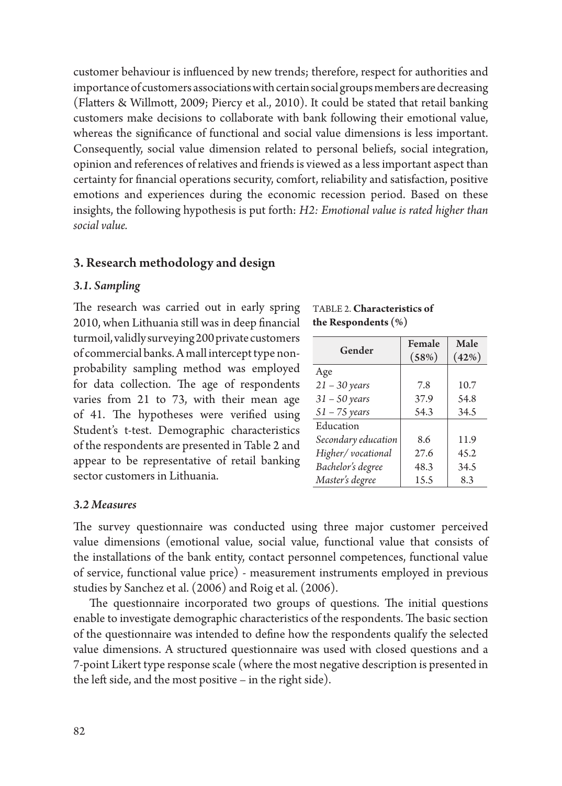customer behaviour is influenced by new trends; therefore, respect for authorities and importance of customers associations with certain social groups members are decreasing (Flatters & Willmott, 2009; Piercy et al., 2010). It could be stated that retail banking customers make decisions to collaborate with bank following their emotional value, whereas the significance of functional and social value dimensions is less important. Consequently, social value dimension related to personal beliefs, social integration, opinion and references of relatives and friends is viewed as a less important aspect than certainty for financial operations security, comfort, reliability and satisfaction, positive emotions and experiences during the economic recession period. Based on these insights, the following hypothesis is put forth: *H2: Emotional value is rated higher than social value.*

#### 3. Research methodology and design

#### *3.1. Sampling*

The research was carried out in early spring 2010, when Lithuania still was in deep financial turmoil, validly surveying 200 private customers of commercial banks. A mall intercept type nonprobability sampling method was employed for data collection. The age of respondents varies from 21 to 73, with their mean age of 41. The hypotheses were verified using Student's t-test. Demographic characteristics of the respondents are presented in Table 2 and appear to be representative of retail banking sector customers in Lithuania.

Table 2. **Characteristics of the Respondents (%)**

| Gender              | Female | Male  |
|---------------------|--------|-------|
|                     | (58%)  | (42%) |
| Age                 |        |       |
| $21 - 30$ years     | 7.8    | 10.7  |
| $31 - 50$ years     | 37.9   | 54.8  |
| $51 - 75$ years     | 54.3   | 34.5  |
| Education           |        |       |
| Secondary education | 8.6    | 11.9  |
| Higher/vocational   | 27.6   | 45.2  |
| Bachelor's degree   | 48.3   | 34.5  |
| Master's degree     | 15.5   | 8.3   |

#### *3.2 Measures*

The survey questionnaire was conducted using three major customer perceived value dimensions (emotional value, social value, functional value that consists of the installations of the bank entity, contact personnel competences, functional value of service, functional value price) - measurement instruments employed in previous studies by Sanchez et al. (2006) and Roig et al. (2006).

The questionnaire incorporated two groups of questions. The initial questions enable to investigate demographic characteristics of the respondents. The basic section of the questionnaire was intended to define how the respondents qualify the selected value dimensions. A structured questionnaire was used with closed questions and a 7-point Likert type response scale (where the most negative description is presented in the left side, and the most positive – in the right side).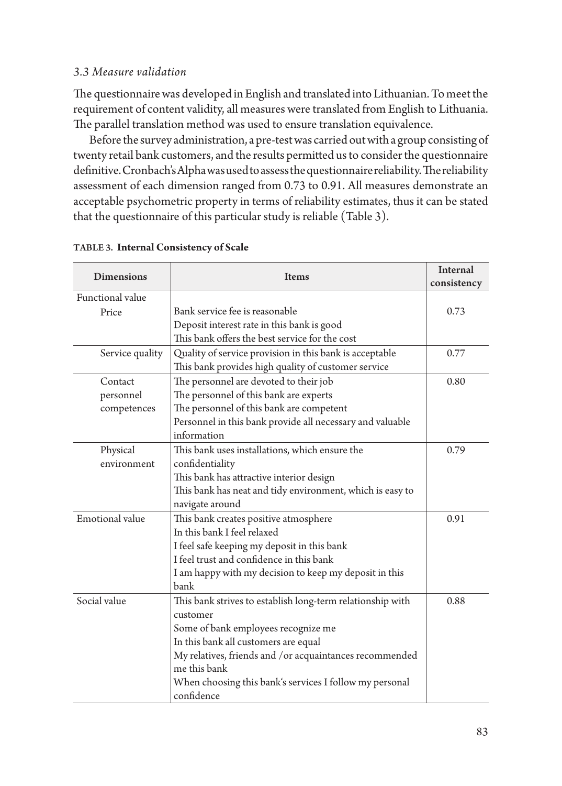### *3.3 Measure validation*

The questionnaire was developed in English and translated into Lithuanian. To meet the requirement of content validity, all measures were translated from English to Lithuania. The parallel translation method was used to ensure translation equivalence.

Before the survey administration, a pre-test was carried out with a group consisting of twenty retail bank customers, and the results permitted us to consider the questionnaire definitive. Cronbach's Alpha was used to assess the questionnaire reliability. The reliability assessment of each dimension ranged from 0.73 to 0.91. All measures demonstrate an acceptable psychometric property in terms of reliability estimates, thus it can be stated that the questionnaire of this particular study is reliable (Table 3).

| <b>Dimensions</b> | <b>Items</b>                                               | <b>Internal</b><br>consistency |
|-------------------|------------------------------------------------------------|--------------------------------|
| Functional value  |                                                            |                                |
| Price             | Bank service fee is reasonable                             | 0.73                           |
|                   | Deposit interest rate in this bank is good                 |                                |
|                   | This bank offers the best service for the cost             |                                |
| Service quality   | Quality of service provision in this bank is acceptable    | 0.77                           |
|                   | This bank provides high quality of customer service        |                                |
| Contact           | The personnel are devoted to their job                     | 0.80                           |
| personnel         | The personnel of this bank are experts                     |                                |
| competences       | The personnel of this bank are competent                   |                                |
|                   | Personnel in this bank provide all necessary and valuable  |                                |
|                   | information                                                |                                |
| Physical          | This bank uses installations, which ensure the             | 0.79                           |
| environment       | confidentiality                                            |                                |
|                   | This bank has attractive interior design                   |                                |
|                   | This bank has neat and tidy environment, which is easy to  |                                |
|                   | navigate around                                            |                                |
| Emotional value   | This bank creates positive atmosphere                      | 0.91                           |
|                   | In this bank I feel relaxed                                |                                |
|                   | I feel safe keeping my deposit in this bank                |                                |
|                   | I feel trust and confidence in this bank                   |                                |
|                   | I am happy with my decision to keep my deposit in this     |                                |
|                   | bank                                                       |                                |
| Social value      | This bank strives to establish long-term relationship with | 0.88                           |
|                   | customer                                                   |                                |
|                   | Some of bank employees recognize me                        |                                |
|                   | In this bank all customers are equal                       |                                |
|                   | My relatives, friends and /or acquaintances recommended    |                                |
|                   | me this bank                                               |                                |
|                   | When choosing this bank's services I follow my personal    |                                |
|                   | confidence                                                 |                                |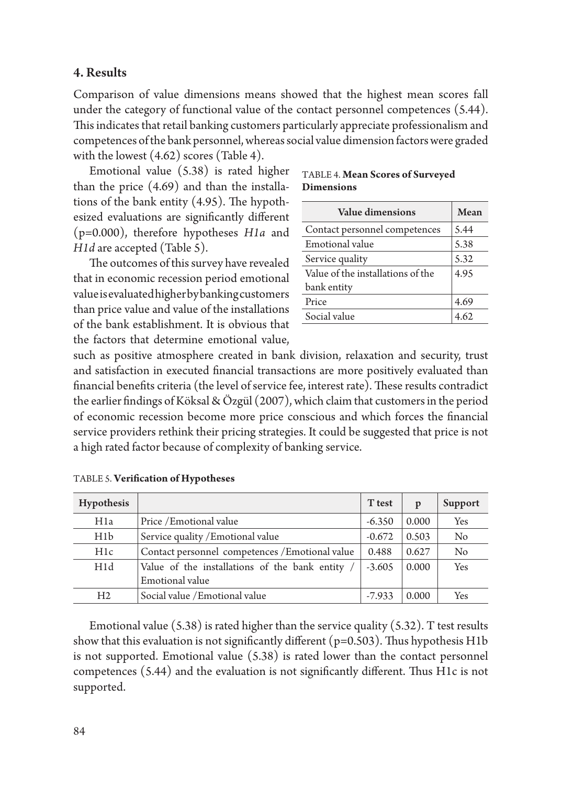### 4. Results

Comparison of value dimensions means showed that the highest mean scores fall under the category of functional value of the contact personnel competences (5.44). This indicates that retail banking customers particularly appreciate professionalism and competences of the bank personnel, whereas social value dimension factors were graded with the lowest (4.62) scores (Table 4).

Emotional value (5.38) is rated higher than the price (4.69) and than the installations of the bank entity (4.95). The hypothesized evaluations are significantly different (p=0.000), therefore hypotheses *H1a* and *H1d* are accepted (Table 5).

The outcomes of this survey have revealed that in economic recession period emotional value is evaluated higher by banking customers than price value and value of the installations of the bank establishment. It is obvious that the factors that determine emotional value,

Table 4. **Mean Scores of Surveyed Dimensions**

| Value dimensions                  | Mean |
|-----------------------------------|------|
| Contact personnel competences     | 5.44 |
| Emotional value                   | 5.38 |
| Service quality                   | 5.32 |
| Value of the installations of the | 4.95 |
| bank entity                       |      |
| Price                             | 4.69 |
| Social value                      | 4.62 |
|                                   |      |

such as positive atmosphere created in bank division, relaxation and security, trust and satisfaction in executed financial transactions are more positively evaluated than financial benefits criteria (the level of service fee, interest rate). These results contradict the earlier findings of Köksal & Özgül (2007), which claim that customers in the period of economic recession become more price conscious and which forces the financial service providers rethink their pricing strategies. It could be suggested that price is not a high rated factor because of complexity of banking service.

| Hypothesis     |                                                 | T test   | p     | Support |
|----------------|-------------------------------------------------|----------|-------|---------|
| H1a            | Price / Emotional value                         | $-6.350$ | 0.000 | Yes     |
| H1b            | Service quality / Emotional value               | $-0.672$ | 0.503 | No      |
| H1c            | Contact personnel competences / Emotional value | 0.488    | 0.627 | No      |
| H1d            | Value of the installations of the bank entity / | $-3.605$ | 0.000 | Yes     |
|                | Emotional value                                 |          |       |         |
| H <sub>2</sub> | Social value / Emotional value                  | $-7.933$ | 0.000 | Yes     |

Table 5. **Verification of Hypotheses**

Emotional value  $(5.38)$  is rated higher than the service quality  $(5.32)$ . T test results show that this evaluation is not significantly different ( $p=0.503$ ). Thus hypothesis H1b is not supported. Emotional value (5.38) is rated lower than the contact personnel competences (5.44) and the evaluation is not significantly different. Thus H1c is not supported.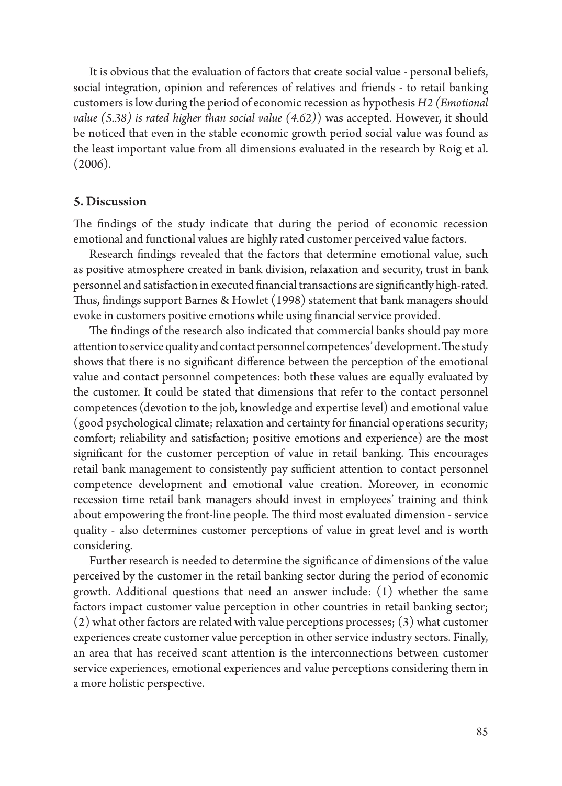It is obvious that the evaluation of factors that create social value - personal beliefs, social integration, opinion and references of relatives and friends - to retail banking customers is low during the period of economic recession as hypothesis *H2 (Emotional value (5.38) is rated higher than social value (4.62)*) was accepted. However, it should be noticed that even in the stable economic growth period social value was found as the least important value from all dimensions evaluated in the research by Roig et al. (2006).

#### 5. Discussion

The findings of the study indicate that during the period of economic recession emotional and functional values are highly rated customer perceived value factors.

Research findings revealed that the factors that determine emotional value, such as positive atmosphere created in bank division, relaxation and security, trust in bank personnel and satisfaction in executed financial transactions are significantly high-rated. Thus, findings support Barnes & Howlet (1998) statement that bank managers should evoke in customers positive emotions while using financial service provided.

The fndings of the research also indicated that commercial banks should pay more attention to service quality and contact personnel competences' development. The study shows that there is no significant difference between the perception of the emotional value and contact personnel competences: both these values are equally evaluated by the customer. It could be stated that dimensions that refer to the contact personnel competences (devotion to the job, knowledge and expertise level) and emotional value (good psychological climate; relaxation and certainty for financial operations security; comfort; reliability and satisfaction; positive emotions and experience) are the most significant for the customer perception of value in retail banking. This encourages retail bank management to consistently pay sufficient attention to contact personnel competence development and emotional value creation. Moreover, in economic recession time retail bank managers should invest in employees' training and think about empowering the front-line people. The third most evaluated dimension - service quality - also determines customer perceptions of value in great level and is worth considering.

Further research is needed to determine the significance of dimensions of the value perceived by the customer in the retail banking sector during the period of economic growth. Additional questions that need an answer include: (1) whether the same factors impact customer value perception in other countries in retail banking sector; (2) what other factors are related with value perceptions processes; (3) what customer experiences create customer value perception in other service industry sectors. Finally, an area that has received scant attention is the interconnections between customer service experiences, emotional experiences and value perceptions considering them in a more holistic perspective.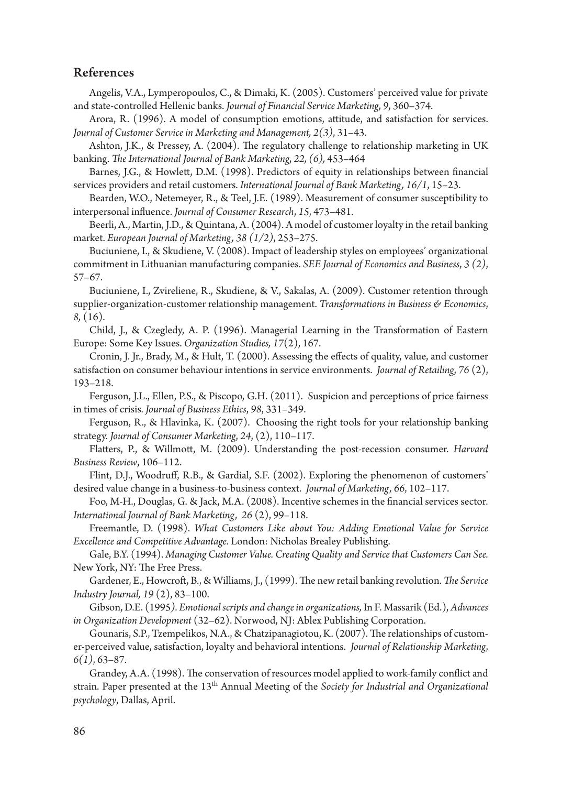### References

Angelis, V.A., Lymperopoulos, C., & Dimaki, K. (2005). Customers' perceived value for private and state-controlled Hellenic banks. *Journal of Financial Service Marketing*, *9*, 360–374.

Arora, R. (1996). A model of consumption emotions, attitude, and satisfaction for services. *Journal of Customer Service in Marketing and Management, 2(3)*, 31–43.

Ashton, J.K., & Pressey, A. (2004). The regulatory challenge to relationship marketing in UK banking. *The International Journal of Bank Marketing*, *22, (6),* 453–464

Barnes, J.G., & Howlett, D.M. (1998). Predictors of equity in relationships between financial services providers and retail customers. *International Journal of Bank Marketing, 16/1*, 15–23.

Bearden, W.O., Netemeyer, R., & Teel, J.E. (1989). Measurement of consumer susceptibility to interpersonal influence. *Journal of Consumer Research*, *15*, 473–481.

Beerli, A., Martin, J.D., & Quintana, A. (2004). A model of customer loyalty in the retail banking market. *European Journal of Marketing, 38 (1/2)*, 253–275.

Buciuniene, I., & Skudiene, V. (2008). Impact of leadership styles on employees' organizational commitment in Lithuanian manufacturing companies. *SEE Journal of Economics and Business*, *3 (2)*, 57–67.

Buciuniene, I., Zvireliene, R., Skudiene, & V., Sakalas, A. (2009). Customer retention through supplier-organization-customer relationship management. *Transformations in Business & Economics*, *8,* (16).

Child, J., & Czegledy, A. P. (1996). Managerial Learning in the Transformation of Eastern Europe: Some Key Issues. *Organization Studies, 17*(2), 167.

Cronin, J. Jr., Brady, M., & Hult, T. (2000). Assessing the effects of quality, value, and customer satisfaction on consumer behaviour intentions in service environments. *Journal of Retailing*, *76* (2), 193–218.

Ferguson, J.L., Ellen, P.S., & Piscopo, G.H. (2011). Suspicion and perceptions of price fairness in times of crisis*. Journal of Business Ethics*, *98*, 331–349.

Ferguson, R., & Hlavinka, K. (2007). Choosing the right tools for your relationship banking strategy. *Journal of Consumer Marketing*, *24*, (2), 110–117.

Flatters, P., & Willmott, M. (2009). Understanding the post-recession consumer. *Harvard Business Review*, 106–112.

Flint, D.J., Woodruff, R.B., & Gardial, S.F. (2002). Exploring the phenomenon of customers' desired value change in a business-to-business context. *Journal of Marketing, 66*, 102–117.

Foo, M-H., Douglas, G. & Jack, M.A. (2008). Incentive schemes in the financial services sector*. International Journal of Bank Marketing, 26* (2), 99–118.

Freemantle, D. (1998). *What Customers Like about You: Adding Emotional Value for Service Excellence and Competitive Advantage.* London: Nicholas Brealey Publishing.

Gale, B.Y. (1994). *Managing Customer Value. Creating Quality and Service that Customers Can See.* New York, NY: The Free Press.

Gardener, E., Howcroft, B., & Williams, J., (1999). The new retail banking revolution. *The Service Industry Journal, 19* (2), 83–100.

Gibson, D.E. (1995*). Emotional scripts and change in organizations,* In F. Massarik (Ed.), *Advances in Organization Development* (32–62). Norwood, NJ: Ablex Publishing Corporation.

Gounaris, S.P., Tzempelikos, N.A., & Chatzipanagiotou, K. (2007). The relationships of customer-perceived value, satisfaction, loyalty and behavioral intentions. *Journal of Relationship Marketing*, *6(1)*, 63–87.

Grandey, A.A. (1998). The conservation of resources model applied to work-family conflict and strain. Paper presented at the 13th Annual Meeting of the *Society for Industrial and Organizational psychology*, Dallas, April.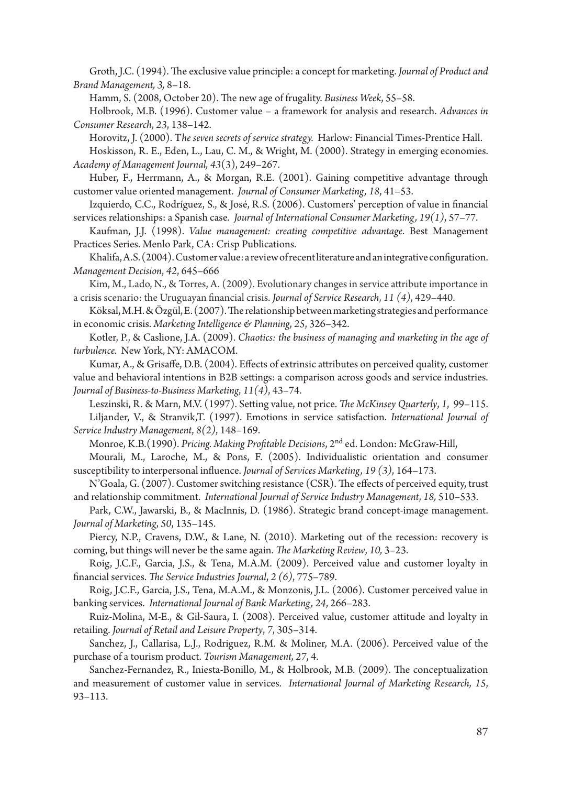Groth, J.C. (1994). The exclusive value principle: a concept for marketing. *Journal of Product and Brand Management, 3,* 8–18.

Hamm, S. (2008, October 20). The new age of frugality. *Business Week*, 55–58.

Holbrook, M.B. (1996). Customer value – a framework for analysis and research. *Advances in Consumer Research*, *23*, 138–142.

Horovitz, J. (2000). T*he seven secrets of service strategy.* Harlow: Financial Times-Prentice Hall.

Hoskisson, R. E., Eden, L., Lau, C. M., & Wright, M. (2000). Strategy in emerging economies. *Academy of Management Journal, 43*(3), 249–267.

Huber, F., Herrmann, A., & Morgan, R.E. (2001). Gaining competitive advantage through customer value oriented management. *Journal of Consumer Marketing, 18*, 41–53.

Izquierdo, C.C., Rodríguez, S., & José, R.S. (2006). Customers' perception of value in financial services relationships: a Spanish case. *Journal of International Consumer Marketing, 19(1)*, 57–77.

Kaufman, J.J. (1998). *Value management: creating competitive advantage*. Best Management Practices Series. Menlo Park, CA: Crisp Publications.

Khalifa, A.S. (2004). Customer value: a review of recent literature and an integrative configuration. *Management Decision*, *42*, 645–666

Kim, M., Lado, N., & Torres, A. (2009). Evolutionary changes in service attribute importance in a crisis scenario: the Uruguayan financial crisis. *Journal of Service Research*, *11 (4)*, 429–440.

Köksal, M.H. & Özgül, E. (2007). The relationship between marketing strategies and performance in economic crisis. *Marketing Intelligence & Planning*, *25*, 326–342.

Kotler, P., & Caslione, J.A. (2009). *Chaotics: the business of managing and marketing in the age of turbulence.* New York, NY: AMACOM.

Kumar, A., & Grisaffe, D.B. (2004). Effects of extrinsic attributes on perceived quality, customer value and behavioral intentions in B2B settings: a comparison across goods and service industries. *Journal of Business-to-Business Marketing*, *11(4)*, 43–74.

Leszinski, R. & Marn, M.V. (1997). Setting value, not price. *The McKinsey Quarterly*, *1*, 99–115. Liljander, V., & Stranvik,T. (1997). Emotions in service satisfaction. *International Journal of Service Industry Management*, *8(2)*, 148–169.

Monroe, K.B.(1990). *Pricing. Making Profitable Decisions*, 2nd ed. London: McGraw-Hill,

Mourali, M., Laroche, M., & Pons, F. (2005). Individualistic orientation and consumer susceptibility to interpersonal influence. *Journal of Services Marketing, 19 (3)*, 164–173.

N'Goala, G. (2007). Customer switching resistance (CSR). The effects of perceived equity, trust and relationship commitment. *International Journal of Service Industry Management*, *18,* 510–533.

Park, C.W., Jawarski, B., & MacInnis, D. (1986). Strategic brand concept-image management. *Journal of Marketing*, *50*, 135–145.

Piercy, N.P., Cravens, D.W., & Lane, N. (2010). Marketing out of the recession: recovery is coming, but things will never be the same again. *The Marketing Review*, *10,* 3–23.

Roig, J.C.F., Garcia, J.S., & Tena, M.A.M. (2009). Perceived value and customer loyalty in financial services. *The Service Industries Journal*, *2 (6)*, 775–789.

Roig, J.C.F., Garcia, J.S., Tena, M.A.M., & Monzonis, J.L. (2006). Customer perceived value in banking services. *International Journal of Bank Marketing, 24*, 266–283.

Ruiz-Molina, M-E., & Gil-Saura, I. (2008). Perceived value, customer attitude and loyalty in retailing. *Journal of Retail and Leisure Property*, *7*, 305–314.

Sanchez, J., Callarisa, L.J., Rodriguez, R.M. & Moliner, M.A. (2006). Perceived value of the purchase of a tourism product. *Tourism Management, 27*, 4.

Sanchez-Fernandez, R., Iniesta-Bonillo, M., & Holbrook, M.B. (2009). The conceptualization and measurement of customer value in services. *International Journal of Marketing Research, 15*, 93–113.